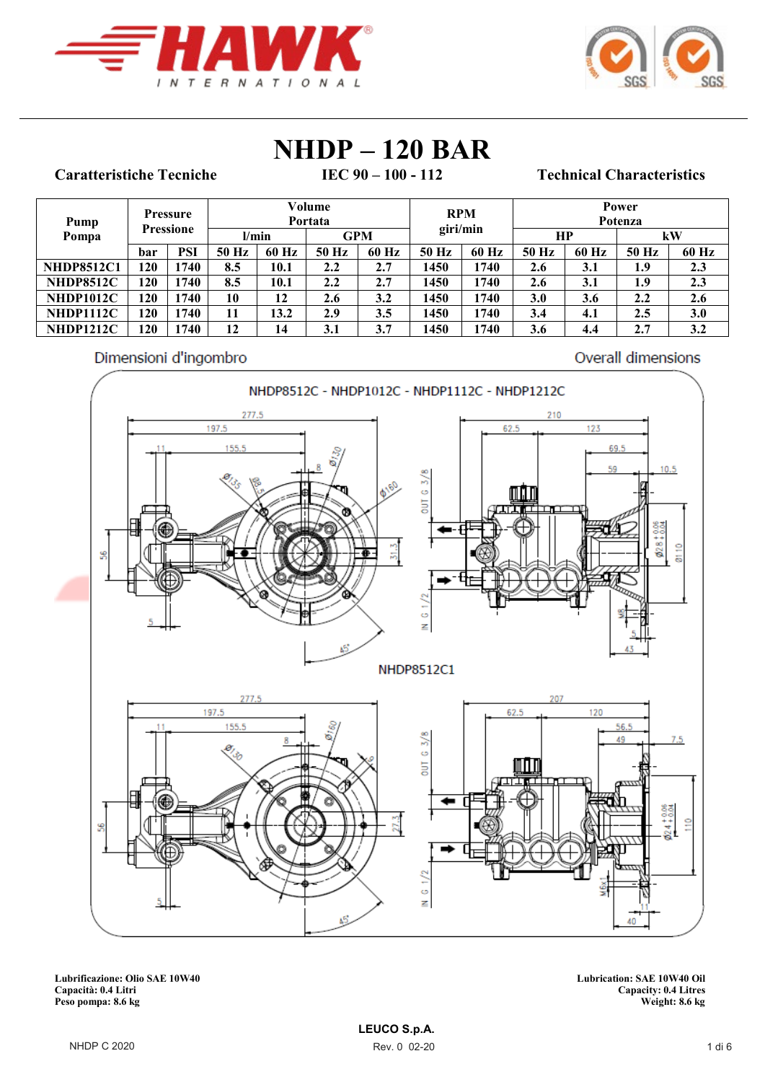



# **NHDP** - **120 BAR**<br> **IEC** 90 - 100 - 112

### **Caratteristiche Tecniche**

### **IEC 90 – 100 - 112 Technical Characteristics**

| Pump              |                  | Pressure |       |       | Volume<br>Portata |       | <b>RPM</b> |       |            |       | Power<br>Potenza |       |
|-------------------|------------------|----------|-------|-------|-------------------|-------|------------|-------|------------|-------|------------------|-------|
| Pompa             | <b>Pressione</b> |          | l/min |       | <b>GPM</b>        |       | giri/min   |       | <b>HP</b>  |       |                  | kW    |
|                   | bar              | PSI      | 50 Hz | 60 Hz | 50 Hz             | 60 Hz | 50 Hz      | 60 Hz | 50 Hz      | 60 Hz | 50 Hz            | 60 Hz |
| <b>NHDP8512C1</b> | 120              | 1740     | 8.5   | 10.1  | 2.2               | 2.7   | 1450       | 1740  | 2.6        | 3.1   | 1.9              | 2.3   |
| <b>NHDP8512C</b>  | 120              | 1740     | 8.5   | 10.1  | 2.2               | 2.7   | 1450       | 1740  | 2.6        | 3.1   | 1.9              | 2.3   |
| <b>NHDP1012C</b>  | 120              | 1740     | 10    | 12    | 2.6               | 3.2   | 1450       | 1740  | <b>3.0</b> | 3.6   | 2.2              | 2.6   |
| <b>NHDP1112C</b>  | <b>120</b>       | 1740     | 11    | 13.2  | 2.9               | 3.5   | 1450       | 1740  | 3.4        | 4.1   | $2.5\,$          | 3.0   |
| <b>NHDP1212C</b>  | 120              | 1740     | 12    | 14    | 3.1               | 3.7   | 1450       | 1740  | 3.6        | 4.4   | 2.7              | 3.2   |

#### Dimensioni d'ingombro

Overall dimensions



**Lubrificazione: Olio SAE 10W40 Lubrication: SAE 10W40 Oil** Peso pompa: 8.6 kg

**Capacità: 0.4 Litri Capacity: 0.4 Litres**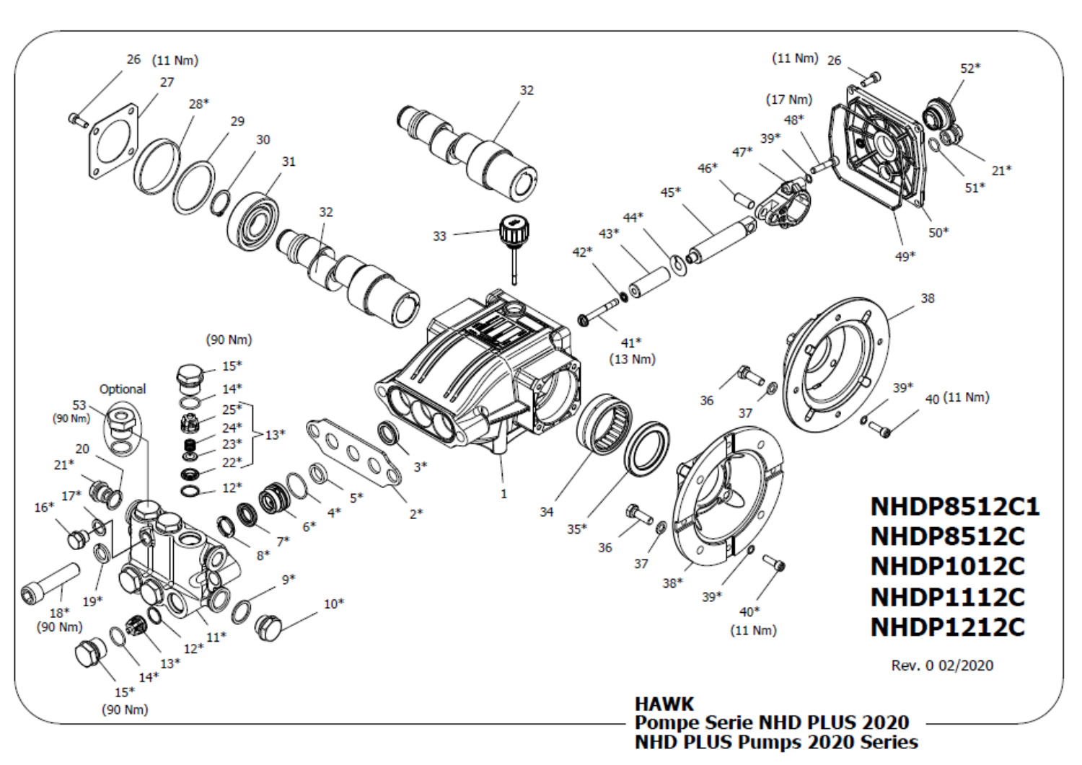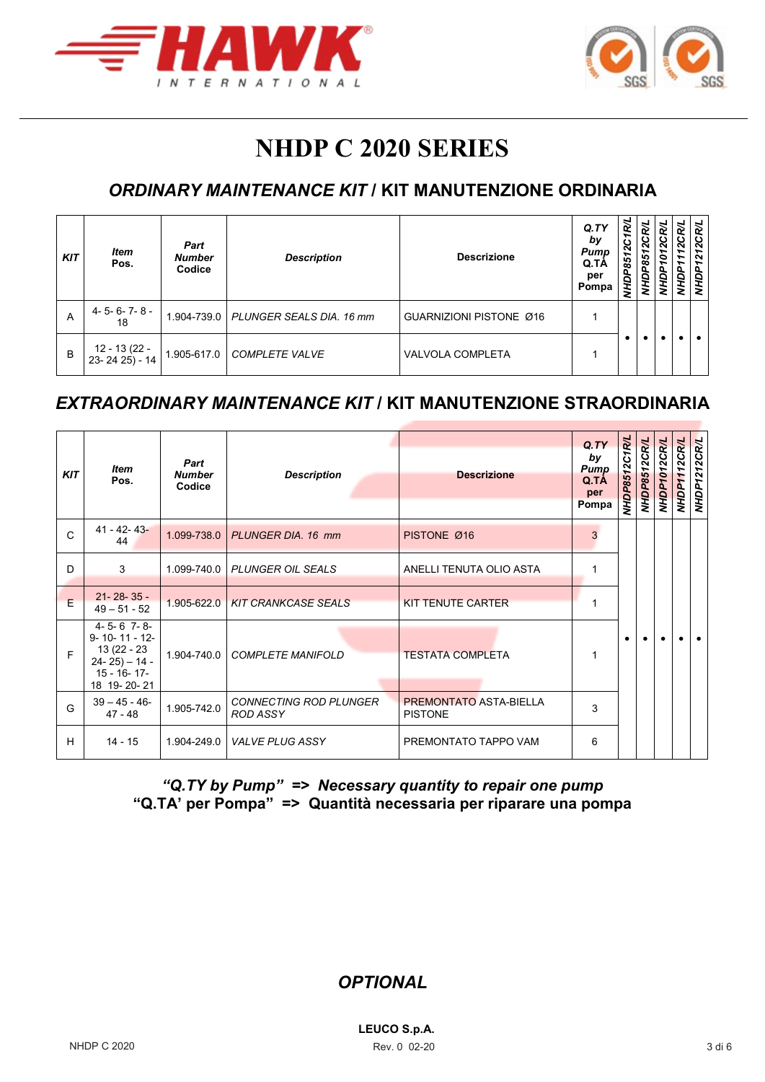



# **NHDP C 2020 SERIES**

# *ORDINARY MAINTENANCE KIT* **/ KIT MANUTENZIONE ORDINARIA**

| <b>KIT</b> | ltem<br>Pos.                        | Part<br><b>Number</b><br>Codice | <b>Description</b>       | <b>Descrizione</b>      | Q. TY<br>by<br>Pump<br>Q.TA<br>per<br>Pompa | P8512C1R/L<br>NHDI | ົ<br>85<br>c |  | N<br>$\sim$<br>å<br>ξ |
|------------|-------------------------------------|---------------------------------|--------------------------|-------------------------|---------------------------------------------|--------------------|--------------|--|-----------------------|
| A          | 4-5-6-7-8-<br>18                    | 1.904-739.0                     | PLUNGER SEALS DIA. 16 mm | GUARNIZIONI PISTONE Ø16 |                                             |                    |              |  |                       |
| B          | 12 - 13 (22 -<br>$23 - 2425$ ) - 14 | 1.905-617.0                     | <b>COMPLETE VALVE</b>    | <b>VALVOLA COMPLETA</b> |                                             |                    |              |  |                       |

### *EXTRAORDINARY MAINTENANCE KIT* **/ KIT MANUTENZIONE STRAORDINARIA**

| <b>KIT</b>   | <b>Item</b><br>Pos.                                                                                                  | Part<br><b>Number</b><br>Codice | Q <sub>T</sub> Y<br>by<br><b>Pump</b><br><b>Descrizione</b><br><b>Description</b><br>Q.TÀ<br>per<br>Pompa |                                                 | VHDP8512C1R/L | NHDP8512CR/L | NHDP1012CR/L | NHDP1112CR/L | NHDP1212CR/L |           |  |  |  |  |
|--------------|----------------------------------------------------------------------------------------------------------------------|---------------------------------|-----------------------------------------------------------------------------------------------------------|-------------------------------------------------|---------------|--------------|--------------|--------------|--------------|-----------|--|--|--|--|
| $\mathsf{C}$ | $41 - 42 - 43 -$<br>44                                                                                               | 1.099-738.0                     | PLUNGER DIA, 16 mm                                                                                        | PISTONE Ø16                                     | 3             |              |              |              |              |           |  |  |  |  |
| D            | 3                                                                                                                    | 1.099-740.0                     | <b>PLUNGER OIL SEALS</b>                                                                                  | ANELLI TENUTA OLIO ASTA                         |               |              |              |              |              |           |  |  |  |  |
| E            | $21 - 28 - 35 -$<br>$49 - 51 - 52$                                                                                   | 1.905-622.0                     | <b>KIT CRANKCASE SEALS</b>                                                                                | <b>KIT TENUTE CARTER</b>                        |               |              |              |              |              |           |  |  |  |  |
| E            | $4 - 5 - 6$ 7-8-<br>$9 - 10 - 11 - 12 -$<br>13 (22 - 23<br>$24 - 25$ ) – 14 -<br>$15 - 16 - 17$ -<br>18 19 - 20 - 21 | 1.904-740.0                     | <b>COMPLETE MANIFOLD</b>                                                                                  | <b>TESTATA COMPLETA</b>                         | 1             | ٠            |              |              |              | $\bullet$ |  |  |  |  |
| G            | $39 - 45 - 46$<br>$47 - 48$                                                                                          | 1.905-742.0                     | <b>CONNECTING ROD PLUNGER</b><br><b>ROD ASSY</b>                                                          | <b>PREMONTATO ASTA-BIELLA</b><br><b>PISTONE</b> | 3             |              |              |              |              |           |  |  |  |  |
| H            | $14 - 15$                                                                                                            | 1.904-249.0                     | <b>VALVE PLUG ASSY</b>                                                                                    | PREMONTATO TAPPO VAM                            | 6             |              |              |              |              |           |  |  |  |  |

*"Q.TY by Pump" => Necessary quantity to repair one pump* **"Q.TA' per Pompa" => Quantità necessaria per riparare una pompa**

*OPTIONAL*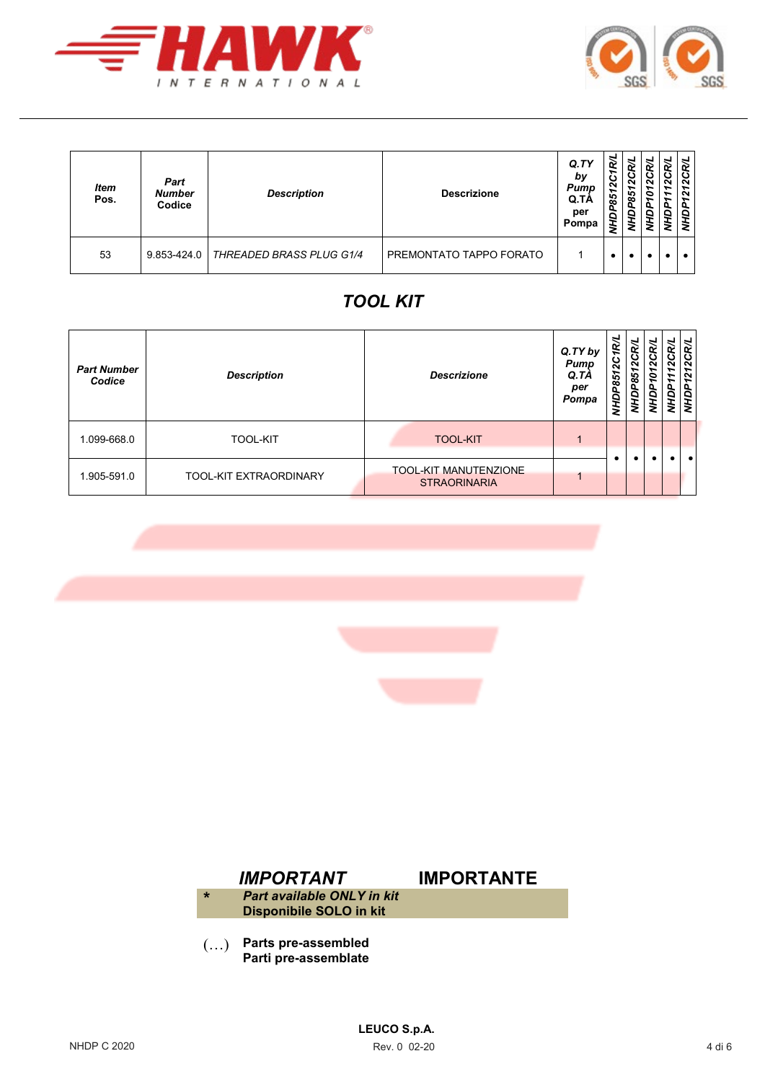



| <b>Item</b><br>Pos. | Part<br><b>Number</b><br>Codice | <b>Description</b>              | <b>Descrizione</b>             | Q.TY<br>by<br>Pump<br>Q.TA<br>per<br>Pompa | ᠬ<br>∽<br>$\sim$<br>∽<br>P85<br><b>AHD</b> | ↵<br>N<br>851<br>ş | ₹<br>œ<br>$\sim$<br>∘<br>ā | ิ<br>↽<br>↽ | $\sim$<br>∽<br>$\sim$<br>٥<br>> |
|---------------------|---------------------------------|---------------------------------|--------------------------------|--------------------------------------------|--------------------------------------------|--------------------|----------------------------|-------------|---------------------------------|
| 53                  | 9.853-424.0                     | <b>THREADED BRASS PLUG G1/4</b> | <b>PREMONTATO TAPPO FORATO</b> |                                            |                                            |                    |                            |             |                                 |

# *TOOL KIT*

| <b>Part Number</b><br>Codice | <b>Description</b>            | <b>Descrizione</b>                                  | Q.TY by<br>Pump<br>Q.TA<br>per<br>Pompa | ∽<br>$\mathbf{c}$<br>↽<br><b>P85</b><br>Й | ฐ<br>ပ<br>N<br>85<br>é | œ<br>2C<br>∘<br>9<br>2 | ฺ<br>2 | 212C<br>ЙW |
|------------------------------|-------------------------------|-----------------------------------------------------|-----------------------------------------|-------------------------------------------|------------------------|------------------------|--------|------------|
| 1.099-668.0                  | <b>TOOL-KIT</b>               | <b>TOOL-KIT</b>                                     |                                         |                                           |                        |                        |        |            |
| 1.905-591.0                  | <b>TOOL-KIT EXTRAORDINARY</b> | <b>TOOL-KIT MANUTENZIONE</b><br><b>STRAORINARIA</b> |                                         |                                           |                        |                        |        | $\bullet$  |





(…) **Parts pre-assembled Parti pre-assemblate**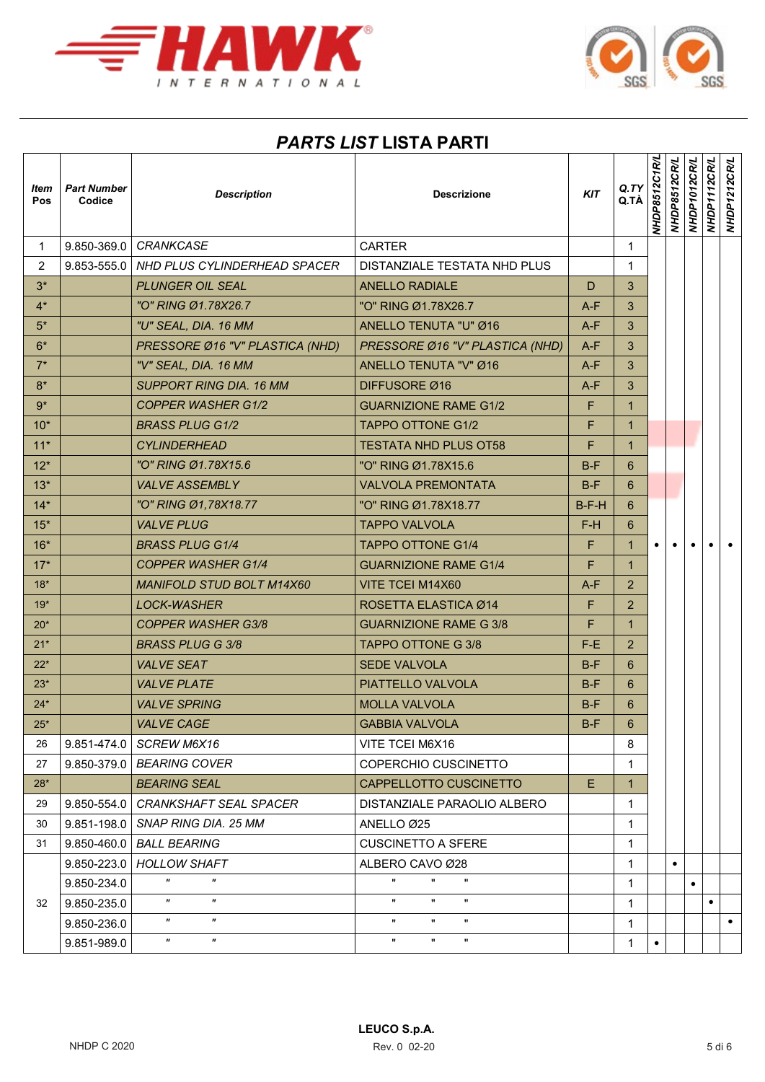

 $\Gamma$ 



## *PARTS LIST* **LISTA PARTI**

| Item<br>Pos  | <b>Part Number</b><br>Codice | <b>Description</b>                                     | <b>Descrizione</b>                                   | <b>KIT</b> | Q. TY<br>Q.TÀ  | <b>NHDP8512C1R/L</b> | NHDP8512CR/L | NHDP1012CR/L | NHDP1112CR/L | NHDP1212CR/L |
|--------------|------------------------------|--------------------------------------------------------|------------------------------------------------------|------------|----------------|----------------------|--------------|--------------|--------------|--------------|
| $\mathbf{1}$ | 9.850-369.0                  | <b>CRANKCASE</b>                                       | <b>CARTER</b>                                        |            | $\mathbf{1}$   |                      |              |              |              |              |
| 2            | 9.853-555.0                  | NHD PLUS CYLINDERHEAD SPACER                           | DISTANZIALE TESTATA NHD PLUS                         |            | 1              |                      |              |              |              |              |
| $3^*$        |                              | <b>PLUNGER OIL SEAL</b>                                | <b>ANELLO RADIALE</b>                                | D          | 3              |                      |              |              |              |              |
| $4^*$        |                              | "O" RING Ø1.78X26.7                                    | "O" RING Ø1.78X26.7                                  | $A-F$      | 3              |                      |              |              |              |              |
| $5*$         |                              | "U" SEAL, DIA. 16 MM                                   | ANELLO TENUTA "U" Ø16                                | $A-F$      | 3              |                      |              |              |              |              |
| $6*$         |                              | PRESSORE Ø16 "V" PLASTICA (NHD)                        | PRESSORE Ø16 "V" PLASTICA (NHD)                      | $A-F$      | 3              |                      |              |              |              |              |
| $7^*$        |                              | "V" SEAL, DIA. 16 MM                                   | ANELLO TENUTA "V" Ø16                                | $A-F$      | 3              |                      |              |              |              |              |
| $8*$         |                              | <b>SUPPORT RING DIA. 16 MM</b>                         | DIFFUSORE Ø16                                        | $A-F$      | 3              |                      |              |              |              |              |
| $9*$         |                              | <b>COPPER WASHER G1/2</b>                              | <b>GUARNIZIONE RAME G1/2</b>                         | F          | $\mathbf{1}$   |                      |              |              |              |              |
| $10*$        |                              | <b>BRASS PLUG G1/2</b>                                 | <b>TAPPO OTTONE G1/2</b>                             | F          | $\mathbf{1}$   |                      |              |              |              |              |
| $11*$        |                              | <b>CYLINDERHEAD</b>                                    | <b>TESTATA NHD PLUS OT58</b>                         | F          | $\mathbf{1}$   |                      |              |              |              |              |
| $12*$        |                              | "O" RING Ø1.78X15.6                                    | "O" RING Ø1.78X15.6                                  | $B-F$      | 6              |                      |              |              |              |              |
| $13*$        |                              | <b>VALVE ASSEMBLY</b>                                  | <b>VALVOLA PREMONTATA</b>                            | $B-F$      | 6              |                      |              |              |              |              |
| $14*$        |                              | "O" RING Ø1,78X18.77                                   | "O" RING Ø1.78X18.77                                 | $B-F-H$    | 6              |                      |              |              |              |              |
| $15*$        |                              | <b>VALVE PLUG</b>                                      | <b>TAPPO VALVOLA</b>                                 | F-H        | 6              |                      |              |              |              |              |
| $16*$        |                              | <b>BRASS PLUG G1/4</b>                                 | <b>TAPPO OTTONE G1/4</b>                             | F          | $\mathbf{1}$   |                      |              |              |              |              |
| $17*$        |                              | <b>COPPER WASHER G1/4</b>                              | <b>GUARNIZIONE RAME G1/4</b>                         | F          | $\mathbf{1}$   |                      |              |              |              |              |
| $18*$        |                              | <b>MANIFOLD STUD BOLT M14X60</b>                       | VITE TCEI M14X60                                     | $A-F$      | $\overline{2}$ |                      |              |              |              |              |
| $19*$        |                              | <b>LOCK-WASHER</b>                                     | ROSETTA ELASTICA Ø14                                 | F          | $\overline{2}$ |                      |              |              |              |              |
| $20*$        |                              | <b>COPPER WASHER G3/8</b>                              | <b>GUARNIZIONE RAME G 3/8</b>                        | F          | $\mathbf{1}$   |                      |              |              |              |              |
| $21*$        |                              | BRASS PLUG G 3/8                                       | TAPPO OTTONE G 3/8                                   | F-E.       | $\overline{2}$ |                      |              |              |              |              |
| $22*$        |                              | <b>VALVE SEAT</b>                                      | <b>SEDE VALVOLA</b>                                  | $B-F$      | 6              |                      |              |              |              |              |
| $23*$        |                              | <b>VALVE PLATE</b>                                     | PIATTELLO VALVOLA                                    | $B-F$      | 6              |                      |              |              |              |              |
| $24*$        |                              | <b>VALVE SPRING</b>                                    | <b>MOLLA VALVOLA</b>                                 | $B-F$      | 6              |                      |              |              |              |              |
| $25*$        |                              | <b>VALVE CAGE</b>                                      | <b>GABBIA VALVOLA</b>                                | $B-F$      | $6\phantom{a}$ |                      |              |              |              |              |
| 26           | $9.851 - 474.0$              | SCREW M6X16                                            | VITE TCEI M6X16                                      |            | 8              |                      |              |              |              |              |
| 27           | 9.850-379.0                  | <b>BEARING COVER</b>                                   | COPERCHIO CUSCINETTO                                 |            | $\mathbf{1}$   |                      |              |              |              |              |
| $28*$        |                              | <b>BEARING SEAL</b>                                    | CAPPELLOTTO CUSCINETTO                               | E.         | $\mathbf{1}$   |                      |              |              |              |              |
| 29           | 9.850-554.0                  | <b>CRANKSHAFT SEAL SPACER</b>                          | DISTANZIALE PARAOLIO ALBERO                          |            | $\mathbf{1}$   |                      |              |              |              |              |
| 30           | 9.851-198.0                  | SNAP RING DIA, 25 MM                                   | ANELLO Ø25                                           |            | $\mathbf 1$    |                      |              |              |              |              |
| 31           | 9.850-460.0                  | <b>BALL BEARING</b>                                    | <b>CUSCINETTO A SFERE</b>                            |            | 1              |                      |              |              |              |              |
|              | 9.850-223.0                  | <b>HOLLOW SHAFT</b>                                    | ALBERO CAVO Ø28                                      |            | $\mathbf{1}$   |                      |              |              |              |              |
|              | 9.850-234.0                  | $\pmb{\pi}$<br>$\mathbf{H}$                            | н.<br>$\mathbf{H}$<br>$\mathbf{H}$                   |            | $\mathbf 1$    |                      |              | $\bullet$    |              |              |
| 32           | 9.850-235.0                  | $\boldsymbol{\mathsf{H}}$<br>$\boldsymbol{\mathsf{H}}$ | $\pmb{\mathsf{H}}$<br>$\mathbf{u}$<br>$\mathbf{u}$   |            | $\mathbf{1}$   |                      |              |              | $\bullet$    |              |
|              | 9.850-236.0                  | $\pmb{\pi}$<br>$\mathbf{H}$                            | $\pmb{\mathsf{H}}$<br>$\mathbf{H}$                   |            | 1              |                      |              |              |              | $\bullet$    |
|              | 9.851-989.0                  | $\boldsymbol{\mathsf{H}}$<br>$\boldsymbol{\theta}$     | $\pmb{\mathfrak{m}}$<br>$\mathbf{H}$<br>$\mathbf{H}$ |            | 1              | $\bullet$            |              |              |              |              |